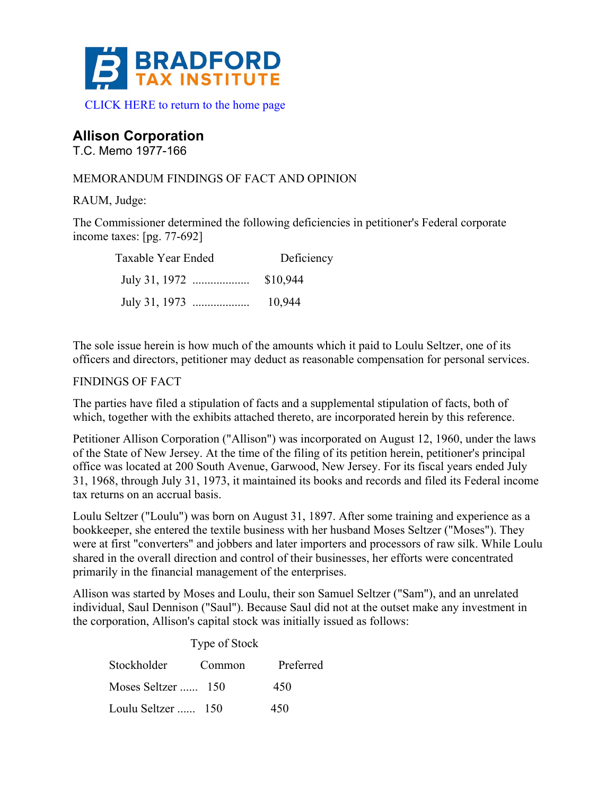

# **Allison Corporation**

T.C. Memo 1977-166

## MEMORANDUM FINDINGS OF FACT AND OPINION

RAUM, Judge:

The Commissioner determined the following deficiencies in petitioner's Federal corporate income taxes: [pg. 77-692]

| Taxable Year Ended | Deficiency |
|--------------------|------------|
|                    |            |
|                    | 10,944     |

The sole issue herein is how much of the amounts which it paid to Loulu Seltzer, one of its officers and directors, petitioner may deduct as reasonable compensation for personal services.

## FINDINGS OF FACT

The parties have filed a stipulation of facts and a supplemental stipulation of facts, both of which, together with the exhibits attached thereto, are incorporated herein by this reference.

Petitioner Allison Corporation ("Allison") was incorporated on August 12, 1960, under the laws of the State of New Jersey. At the time of the filing of its petition herein, petitioner's principal office was located at 200 South Avenue, Garwood, New Jersey. For its fiscal years ended July 31, 1968, through July 31, 1973, it maintained its books and records and filed its Federal income tax returns on an accrual basis.

Loulu Seltzer ("Loulu") was born on August 31, 1897. After some training and experience as a bookkeeper, she entered the textile business with her husband Moses Seltzer ("Moses"). They were at first "converters" and jobbers and later importers and processors of raw silk. While Loulu shared in the overall direction and control of their businesses, her efforts were concentrated primarily in the financial management of the enterprises.

Allison was started by Moses and Loulu, their son Samuel Seltzer ("Sam"), and an unrelated individual, Saul Dennison ("Saul"). Because Saul did not at the outset make any investment in the corporation, Allison's capital stock was initially issued as follows:

|                    | Type of Stock |           |
|--------------------|---------------|-----------|
| Stockholder        | Common        | Preferred |
| Moses Seltzer  150 |               | 450       |
| Loulu Seltzer  150 |               | 450       |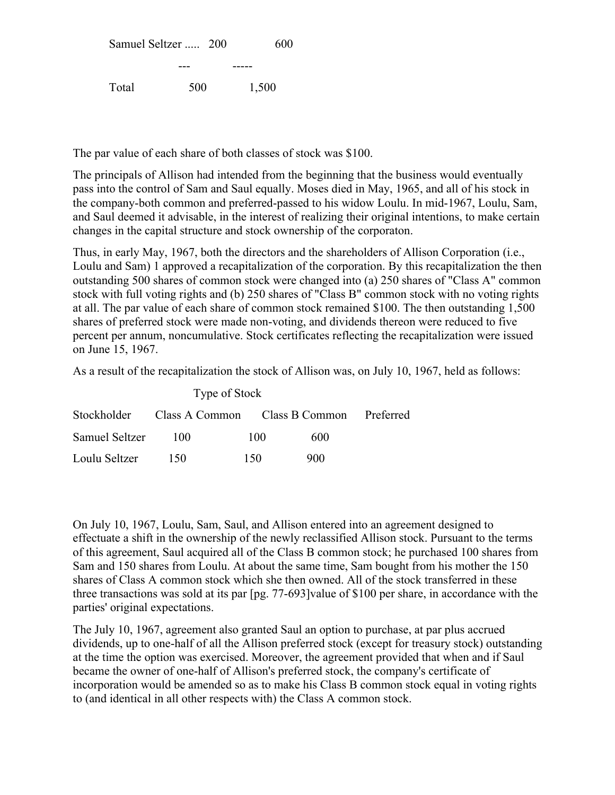|       | Samuel Seltzer  200 | 600   |
|-------|---------------------|-------|
|       |                     |       |
| Total | 500                 | 1,500 |

The par value of each share of both classes of stock was \$100.

The principals of Allison had intended from the beginning that the business would eventually pass into the control of Sam and Saul equally. Moses died in May, 1965, and all of his stock in the company-both common and preferred-passed to his widow Loulu. In mid-1967, Loulu, Sam, and Saul deemed it advisable, in the interest of realizing their original intentions, to make certain changes in the capital structure and stock ownership of the corporaton.

Thus, in early May, 1967, both the directors and the shareholders of Allison Corporation (i.e., Loulu and Sam) 1 approved a recapitalization of the corporation. By this recapitalization the then outstanding 500 shares of common stock were changed into (a) 250 shares of "Class A" common stock with full voting rights and (b) 250 shares of "Class B" common stock with no voting rights at all. The par value of each share of common stock remained \$100. The then outstanding 1,500 shares of preferred stock were made non-voting, and dividends thereon were reduced to five percent per annum, noncumulative. Stock certificates reflecting the recapitalization were issued on June 15, 1967.

As a result of the recapitalization the stock of Allison was, on July 10, 1967, held as follows:

| Type of Stock  |                                                     |     |     |  |
|----------------|-----------------------------------------------------|-----|-----|--|
|                | Stockholder Class A Common Class B Common Preferred |     |     |  |
| Samuel Seltzer | 100                                                 | 100 | 600 |  |
| Loulu Seltzer  | - 150                                               | 150 | 900 |  |

On July 10, 1967, Loulu, Sam, Saul, and Allison entered into an agreement designed to effectuate a shift in the ownership of the newly reclassified Allison stock. Pursuant to the terms of this agreement, Saul acquired all of the Class B common stock; he purchased 100 shares from Sam and 150 shares from Loulu. At about the same time, Sam bought from his mother the 150 shares of Class A common stock which she then owned. All of the stock transferred in these three transactions was sold at its par [pg. 77-693]value of \$100 per share, in accordance with the parties' original expectations.

The July 10, 1967, agreement also granted Saul an option to purchase, at par plus accrued dividends, up to one-half of all the Allison preferred stock (except for treasury stock) outstanding at the time the option was exercised. Moreover, the agreement provided that when and if Saul became the owner of one-half of Allison's preferred stock, the company's certificate of incorporation would be amended so as to make his Class B common stock equal in voting rights to (and identical in all other respects with) the Class A common stock.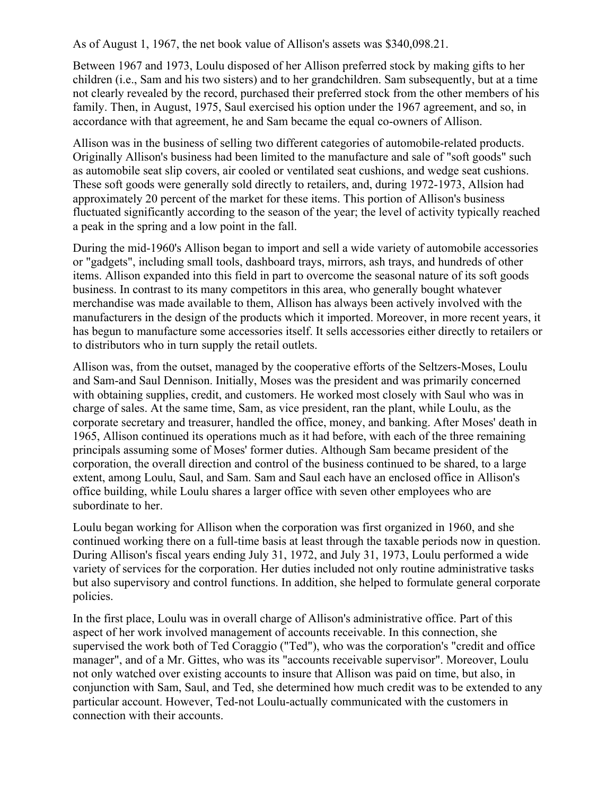As of August 1, 1967, the net book value of Allison's assets was \$340,098.21.

Between 1967 and 1973, Loulu disposed of her Allison preferred stock by making gifts to her children (i.e., Sam and his two sisters) and to her grandchildren. Sam subsequently, but at a time not clearly revealed by the record, purchased their preferred stock from the other members of his family. Then, in August, 1975, Saul exercised his option under the 1967 agreement, and so, in accordance with that agreement, he and Sam became the equal co-owners of Allison.

Allison was in the business of selling two different categories of automobile-related products. Originally Allison's business had been limited to the manufacture and sale of "soft goods" such as automobile seat slip covers, air cooled or ventilated seat cushions, and wedge seat cushions. These soft goods were generally sold directly to retailers, and, during 1972-1973, Allsion had approximately 20 percent of the market for these items. This portion of Allison's business fluctuated significantly according to the season of the year; the level of activity typically reached a peak in the spring and a low point in the fall.

During the mid-1960's Allison began to import and sell a wide variety of automobile accessories or "gadgets", including small tools, dashboard trays, mirrors, ash trays, and hundreds of other items. Allison expanded into this field in part to overcome the seasonal nature of its soft goods business. In contrast to its many competitors in this area, who generally bought whatever merchandise was made available to them, Allison has always been actively involved with the manufacturers in the design of the products which it imported. Moreover, in more recent years, it has begun to manufacture some accessories itself. It sells accessories either directly to retailers or to distributors who in turn supply the retail outlets.

Allison was, from the outset, managed by the cooperative efforts of the Seltzers-Moses, Loulu and Sam-and Saul Dennison. Initially, Moses was the president and was primarily concerned with obtaining supplies, credit, and customers. He worked most closely with Saul who was in charge of sales. At the same time, Sam, as vice president, ran the plant, while Loulu, as the corporate secretary and treasurer, handled the office, money, and banking. After Moses' death in 1965, Allison continued its operations much as it had before, with each of the three remaining principals assuming some of Moses' former duties. Although Sam became president of the corporation, the overall direction and control of the business continued to be shared, to a large extent, among Loulu, Saul, and Sam. Sam and Saul each have an enclosed office in Allison's office building, while Loulu shares a larger office with seven other employees who are subordinate to her.

Loulu began working for Allison when the corporation was first organized in 1960, and she continued working there on a full-time basis at least through the taxable periods now in question. During Allison's fiscal years ending July 31, 1972, and July 31, 1973, Loulu performed a wide variety of services for the corporation. Her duties included not only routine administrative tasks but also supervisory and control functions. In addition, she helped to formulate general corporate policies.

In the first place, Loulu was in overall charge of Allison's administrative office. Part of this aspect of her work involved management of accounts receivable. In this connection, she supervised the work both of Ted Coraggio ("Ted"), who was the corporation's "credit and office manager", and of a Mr. Gittes, who was its "accounts receivable supervisor". Moreover, Loulu not only watched over existing accounts to insure that Allison was paid on time, but also, in conjunction with Sam, Saul, and Ted, she determined how much credit was to be extended to any particular account. However, Ted-not Loulu-actually communicated with the customers in connection with their accounts.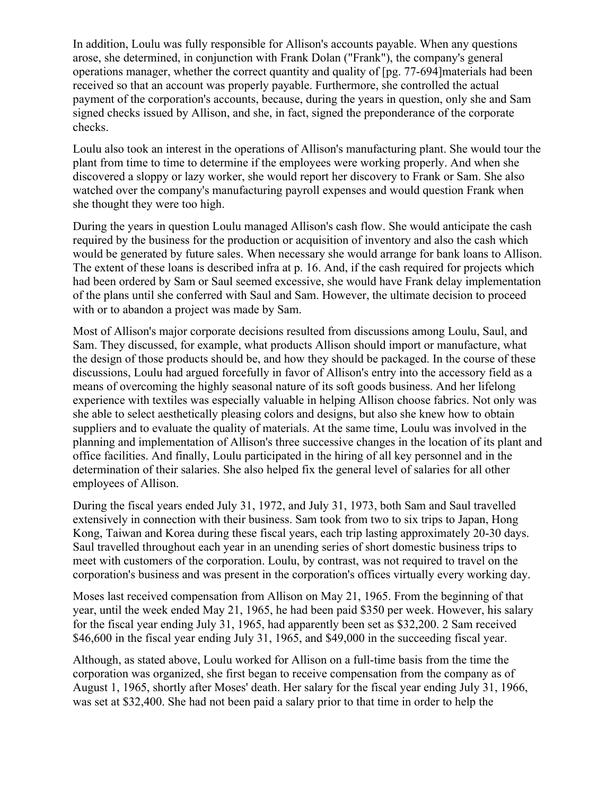In addition, Loulu was fully responsible for Allison's accounts payable. When any questions arose, she determined, in conjunction with Frank Dolan ("Frank"), the company's general operations manager, whether the correct quantity and quality of [pg. 77-694]materials had been received so that an account was properly payable. Furthermore, she controlled the actual payment of the corporation's accounts, because, during the years in question, only she and Sam signed checks issued by Allison, and she, in fact, signed the preponderance of the corporate checks.

Loulu also took an interest in the operations of Allison's manufacturing plant. She would tour the plant from time to time to determine if the employees were working properly. And when she discovered a sloppy or lazy worker, she would report her discovery to Frank or Sam. She also watched over the company's manufacturing payroll expenses and would question Frank when she thought they were too high.

During the years in question Loulu managed Allison's cash flow. She would anticipate the cash required by the business for the production or acquisition of inventory and also the cash which would be generated by future sales. When necessary she would arrange for bank loans to Allison. The extent of these loans is described infra at p. 16. And, if the cash required for projects which had been ordered by Sam or Saul seemed excessive, she would have Frank delay implementation of the plans until she conferred with Saul and Sam. However, the ultimate decision to proceed with or to abandon a project was made by Sam.

Most of Allison's major corporate decisions resulted from discussions among Loulu, Saul, and Sam. They discussed, for example, what products Allison should import or manufacture, what the design of those products should be, and how they should be packaged. In the course of these discussions, Loulu had argued forcefully in favor of Allison's entry into the accessory field as a means of overcoming the highly seasonal nature of its soft goods business. And her lifelong experience with textiles was especially valuable in helping Allison choose fabrics. Not only was she able to select aesthetically pleasing colors and designs, but also she knew how to obtain suppliers and to evaluate the quality of materials. At the same time, Loulu was involved in the planning and implementation of Allison's three successive changes in the location of its plant and office facilities. And finally, Loulu participated in the hiring of all key personnel and in the determination of their salaries. She also helped fix the general level of salaries for all other employees of Allison.

During the fiscal years ended July 31, 1972, and July 31, 1973, both Sam and Saul travelled extensively in connection with their business. Sam took from two to six trips to Japan, Hong Kong, Taiwan and Korea during these fiscal years, each trip lasting approximately 20-30 days. Saul travelled throughout each year in an unending series of short domestic business trips to meet with customers of the corporation. Loulu, by contrast, was not required to travel on the corporation's business and was present in the corporation's offices virtually every working day.

Moses last received compensation from Allison on May 21, 1965. From the beginning of that year, until the week ended May 21, 1965, he had been paid \$350 per week. However, his salary for the fiscal year ending July 31, 1965, had apparently been set as \$32,200. 2 Sam received \$46,600 in the fiscal year ending July 31, 1965, and \$49,000 in the succeeding fiscal year.

Although, as stated above, Loulu worked for Allison on a full-time basis from the time the corporation was organized, she first began to receive compensation from the company as of August 1, 1965, shortly after Moses' death. Her salary for the fiscal year ending July 31, 1966, was set at \$32,400. She had not been paid a salary prior to that time in order to help the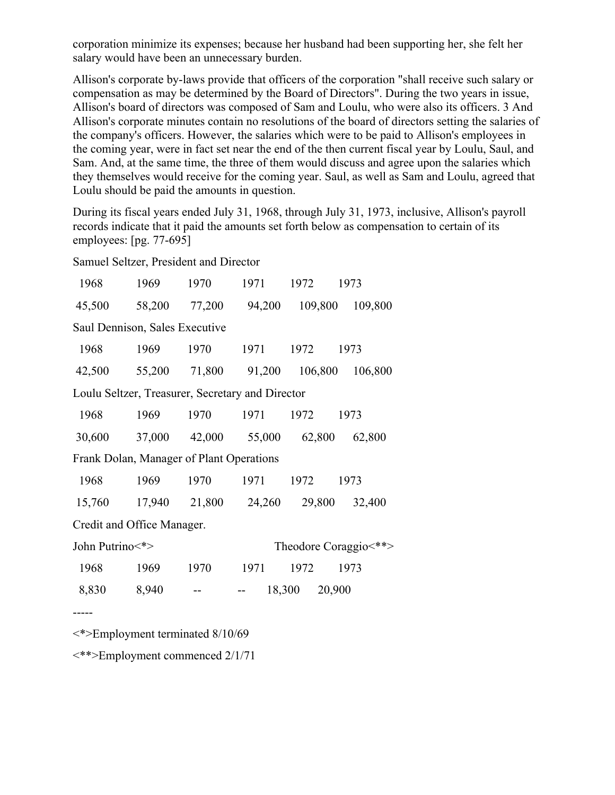corporation minimize its expenses; because her husband had been supporting her, she felt her salary would have been an unnecessary burden.

Allison's corporate by-laws provide that officers of the corporation "shall receive such salary or compensation as may be determined by the Board of Directors". During the two years in issue, Allison's board of directors was composed of Sam and Loulu, who were also its officers. 3 And Allison's corporate minutes contain no resolutions of the board of directors setting the salaries of the company's officers. However, the salaries which were to be paid to Allison's employees in the coming year, were in fact set near the end of the then current fiscal year by Loulu, Saul, and Sam. And, at the same time, the three of them would discuss and agree upon the salaries which they themselves would receive for the coming year. Saul, as well as Sam and Loulu, agreed that Loulu should be paid the amounts in question.

During its fiscal years ended July 31, 1968, through July 31, 1973, inclusive, Allison's payroll records indicate that it paid the amounts set forth below as compensation to certain of its employees: [pg. 77-695]

Samuel Seltzer, President and Director

| 1968                                             | 1969   | 1970                                      | 1971   | 1972             | 1973                    |  |  |
|--------------------------------------------------|--------|-------------------------------------------|--------|------------------|-------------------------|--|--|
| 45,500                                           | 58,200 | 77,200                                    | 94,200 | 109,800          | 109,800                 |  |  |
| Saul Dennison, Sales Executive                   |        |                                           |        |                  |                         |  |  |
| 1968                                             | 1969   | 1970                                      | 1971   | 1972             | 1973                    |  |  |
| 42,500                                           |        | 55,200 71,800 91,200                      |        | 106,800          | 106,800                 |  |  |
| Loulu Seltzer, Treasurer, Secretary and Director |        |                                           |        |                  |                         |  |  |
| 1968                                             | 1969   | 1970                                      | 1971   | 1972             | 1973                    |  |  |
| 30,600                                           | 37,000 | 42,000 55,000                             |        | 62,800           | 62,800                  |  |  |
| Frank Dolan, Manager of Plant Operations         |        |                                           |        |                  |                         |  |  |
| 1968                                             | 1969   | 1970                                      | 1971   | 1972             | 1973                    |  |  |
| 15,760                                           |        | 17,940 21,800 24,260                      |        | 29,800           | 32,400                  |  |  |
| Credit and Office Manager.                       |        |                                           |        |                  |                         |  |  |
| John Putrino<*>                                  |        |                                           |        |                  | Theodore Coraggio <** > |  |  |
| 1968                                             | 1969   | 1970                                      | 1971   | 1972             | 1973                    |  |  |
| 8,830                                            | 8,940  |                                           |        | 18,300<br>20,900 |                         |  |  |
|                                                  |        |                                           |        |                  |                         |  |  |
|                                                  |        | $\langle$ *>Employment terminated 8/10/69 |        |                  |                         |  |  |

<\*\*>Employment commenced 2/1/71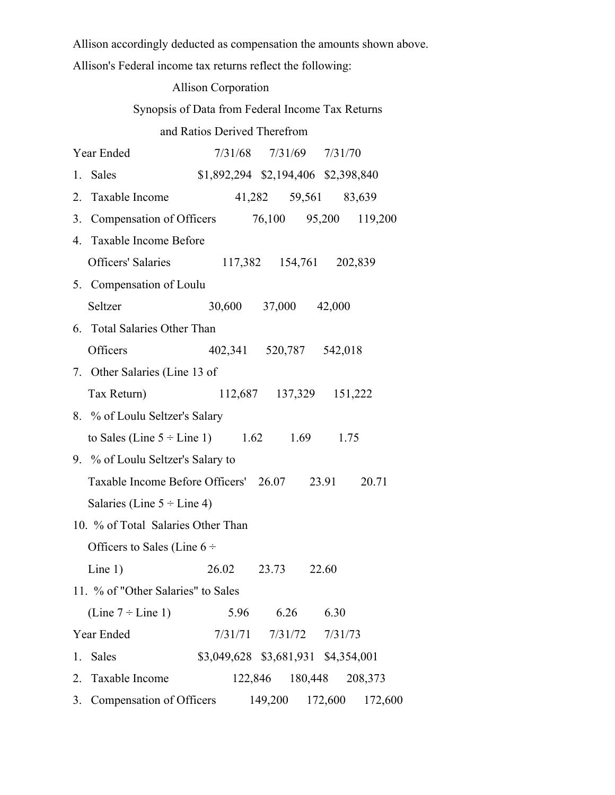Allison accordingly deducted as compensation the amounts shown above.

Allison's Federal income tax returns reflect the following:

|                                                     | <b>Allison Corporation</b>                       |                         |  |
|-----------------------------------------------------|--------------------------------------------------|-------------------------|--|
|                                                     | Synopsis of Data from Federal Income Tax Returns |                         |  |
|                                                     | and Ratios Derived Therefrom                     |                         |  |
| Year Ended                                          |                                                  | 7/31/68 7/31/69 7/31/70 |  |
| 1. Sales                                            | \$1,892,294 \$2,194,406 \$2,398,840              |                         |  |
| 2. Taxable Income                                   |                                                  | 41,282 59,561 83,639    |  |
| 3. Compensation of Officers 76,100 95,200 119,200   |                                                  |                         |  |
| 4. Taxable Income Before                            |                                                  |                         |  |
| Officers' Salaries 117,382 154,761 202,839          |                                                  |                         |  |
| 5. Compensation of Loulu                            |                                                  |                         |  |
| Seltzer                                             | 30,600 37,000 42,000                             |                         |  |
| 6. Total Salaries Other Than                        |                                                  |                         |  |
| Officers                                            | 402,341 520,787 542,018                          |                         |  |
| 7. Other Salaries (Line 13 of                       |                                                  |                         |  |
| Tax Return)                                         |                                                  | 112,687 137,329 151,222 |  |
| 8. % of Loulu Seltzer's Salary                      |                                                  |                         |  |
| to Sales (Line $5 \div$ Line 1) 1.62 1.69 1.75      |                                                  |                         |  |
| 9. % of Loulu Seltzer's Salary to                   |                                                  |                         |  |
| Taxable Income Before Officers' 26.07 23.91 20.71   |                                                  |                         |  |
| Salaries (Line $5 \div$ Line 4)                     |                                                  |                         |  |
| 10. % of Total Salaries Other Than                  |                                                  |                         |  |
| Officers to Sales (Line $6 \div$                    |                                                  |                         |  |
| Line $1)$                                           | 26.02 23.73 22.60                                |                         |  |
| 11. % of "Other Salaries" to Sales                  |                                                  |                         |  |
| (Line $7 \div$ Line 1)                              |                                                  | 5.96 6.26 6.30          |  |
| Year Ended                                          |                                                  | 7/31/71 7/31/72 7/31/73 |  |
| 1. Sales                                            | \$3,049,628 \$3,681,931 \$4,354,001              |                         |  |
| 2. Taxable Income                                   |                                                  | 122,846 180,448 208,373 |  |
| 3. Compensation of Officers 149,200 172,600 172,600 |                                                  |                         |  |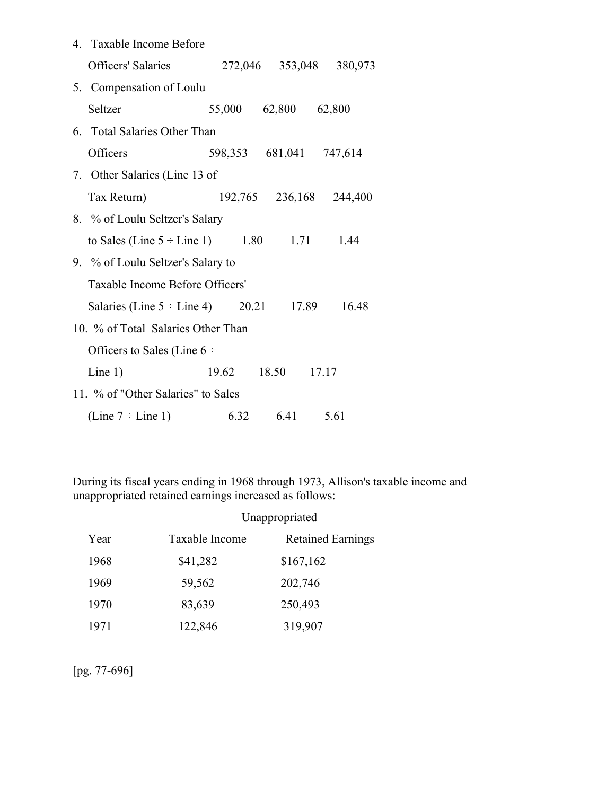| 4. Taxable Income Before                          |                         |                         |
|---------------------------------------------------|-------------------------|-------------------------|
| Officers' Salaries 272,046 353,048 380,973        |                         |                         |
| 5. Compensation of Loulu                          |                         |                         |
| Seltzer                                           | 55,000 62,800 62,800    |                         |
| 6. Total Salaries Other Than                      |                         |                         |
| <b>Officers</b>                                   | 598,353 681,041 747,614 |                         |
| 7. Other Salaries (Line 13 of                     |                         |                         |
| Tax Return)                                       |                         | 192,765 236,168 244,400 |
| 8. % of Loulu Seltzer's Salary                    |                         |                         |
| to Sales (Line $5 \div$ Line 1) 1.80 1.71 1.44    |                         |                         |
| 9. % of Loulu Seltzer's Salary to                 |                         |                         |
| Taxable Income Before Officers'                   |                         |                         |
| Salaries (Line $5 \div$ Line 4) 20.21 17.89 16.48 |                         |                         |
| 10. % of Total Salaries Other Than                |                         |                         |
| Officers to Sales (Line $6 \div$                  |                         |                         |
| Line $1)$                                         | 19.62 18.50 17.17       |                         |
| 11. % of "Other Salaries" to Sales                |                         |                         |
| (Line $7 \div$ Line 1)                            | 6.32 6.41 5.61          |                         |

During its fiscal years ending in 1968 through 1973, Allison's taxable income and unappropriated retained earnings increased as follows:

|      |                | Unappropriated           |
|------|----------------|--------------------------|
| Year | Taxable Income | <b>Retained Earnings</b> |
| 1968 | \$41,282       | \$167,162                |
| 1969 | 59,562         | 202,746                  |
| 1970 | 83,639         | 250,493                  |
| 1971 | 122,846        | 319,907                  |

[pg. 77-696]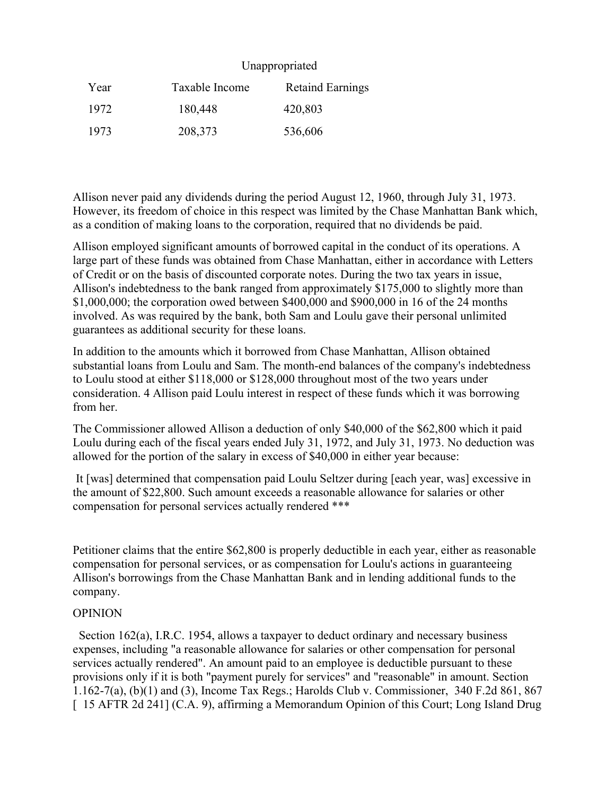### Unappropriated

| Year | Taxable Income | <b>Retaind Earnings</b> |
|------|----------------|-------------------------|
| 1972 | 180,448        | 420,803                 |
| 1973 | 208,373        | 536,606                 |

Allison never paid any dividends during the period August 12, 1960, through July 31, 1973. However, its freedom of choice in this respect was limited by the Chase Manhattan Bank which, as a condition of making loans to the corporation, required that no dividends be paid.

Allison employed significant amounts of borrowed capital in the conduct of its operations. A large part of these funds was obtained from Chase Manhattan, either in accordance with Letters of Credit or on the basis of discounted corporate notes. During the two tax years in issue, Allison's indebtedness to the bank ranged from approximately \$175,000 to slightly more than \$1,000,000; the corporation owed between \$400,000 and \$900,000 in 16 of the 24 months involved. As was required by the bank, both Sam and Loulu gave their personal unlimited guarantees as additional security for these loans.

In addition to the amounts which it borrowed from Chase Manhattan, Allison obtained substantial loans from Loulu and Sam. The month-end balances of the company's indebtedness to Loulu stood at either \$118,000 or \$128,000 throughout most of the two years under consideration. 4 Allison paid Loulu interest in respect of these funds which it was borrowing from her.

The Commissioner allowed Allison a deduction of only \$40,000 of the \$62,800 which it paid Loulu during each of the fiscal years ended July 31, 1972, and July 31, 1973. No deduction was allowed for the portion of the salary in excess of \$40,000 in either year because:

It [was] determined that compensation paid Loulu Seltzer during [each year, was] excessive in the amount of \$22,800. Such amount exceeds a reasonable allowance for salaries or other compensation for personal services actually rendered \*\*\*

Petitioner claims that the entire \$62,800 is properly deductible in each year, either as reasonable compensation for personal services, or as compensation for Loulu's actions in guaranteeing Allison's borrowings from the Chase Manhattan Bank and in lending additional funds to the company.

### **OPINION**

Section 162(a), I.R.C. 1954, allows a taxpayer to deduct ordinary and necessary business expenses, including "a reasonable allowance for salaries or other compensation for personal services actually rendered". An amount paid to an employee is deductible pursuant to these provisions only if it is both "payment purely for services" and "reasonable" in amount. Section 1.162-7(a), (b)(1) and (3), Income Tax Regs.; Harolds Club v. Commissioner, 340 F.2d 861, 867 [ 15 AFTR 2d 241] (C.A. 9), affirming a Memorandum Opinion of this Court; Long Island Drug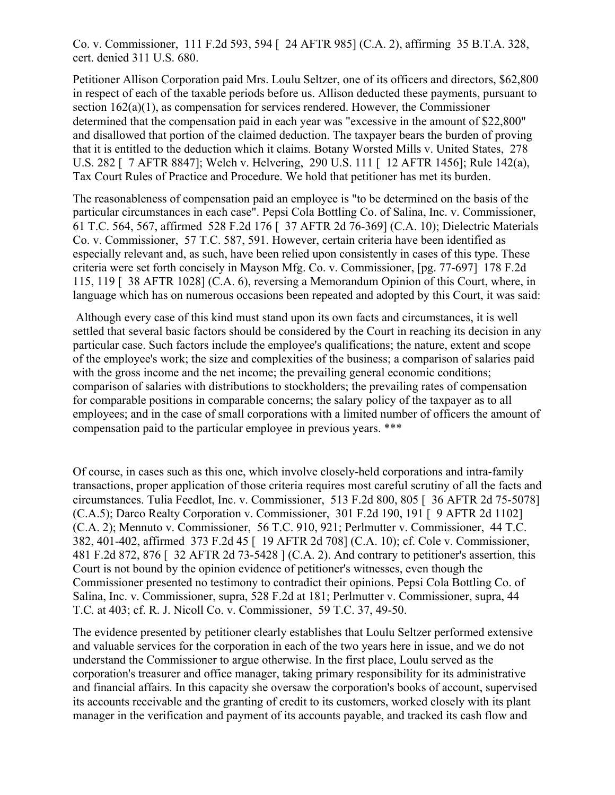Co. v. Commissioner, 111 F.2d 593, 594 [ 24 AFTR 985] (C.A. 2), affirming 35 B.T.A. 328, cert. denied 311 U.S. 680.

Petitioner Allison Corporation paid Mrs. Loulu Seltzer, one of its officers and directors, \$62,800 in respect of each of the taxable periods before us. Allison deducted these payments, pursuant to section 162(a)(1), as compensation for services rendered. However, the Commissioner determined that the compensation paid in each year was "excessive in the amount of \$22,800" and disallowed that portion of the claimed deduction. The taxpayer bears the burden of proving that it is entitled to the deduction which it claims. Botany Worsted Mills v. United States, 278 U.S. 282 [ 7 AFTR 8847]; Welch v. Helvering, 290 U.S. 111 [ 12 AFTR 1456]; Rule 142(a), Tax Court Rules of Practice and Procedure. We hold that petitioner has met its burden.

The reasonableness of compensation paid an employee is "to be determined on the basis of the particular circumstances in each case". Pepsi Cola Bottling Co. of Salina, Inc. v. Commissioner, 61 T.C. 564, 567, affirmed 528 F.2d 176 [ 37 AFTR 2d 76-369] (C.A. 10); Dielectric Materials Co. v. Commissioner, 57 T.C. 587, 591. However, certain criteria have been identified as especially relevant and, as such, have been relied upon consistently in cases of this type. These criteria were set forth concisely in Mayson Mfg. Co. v. Commissioner, [pg. 77-697] 178 F.2d 115, 119 [ 38 AFTR 1028] (C.A. 6), reversing a Memorandum Opinion of this Court, where, in language which has on numerous occasions been repeated and adopted by this Court, it was said:

Although every case of this kind must stand upon its own facts and circumstances, it is well settled that several basic factors should be considered by the Court in reaching its decision in any particular case. Such factors include the employee's qualifications; the nature, extent and scope of the employee's work; the size and complexities of the business; a comparison of salaries paid with the gross income and the net income; the prevailing general economic conditions; comparison of salaries with distributions to stockholders; the prevailing rates of compensation for comparable positions in comparable concerns; the salary policy of the taxpayer as to all employees; and in the case of small corporations with a limited number of officers the amount of compensation paid to the particular employee in previous years. \*\*\*

Of course, in cases such as this one, which involve closely-held corporations and intra-family transactions, proper application of those criteria requires most careful scrutiny of all the facts and circumstances. Tulia Feedlot, Inc. v. Commissioner, 513 F.2d 800, 805 [ 36 AFTR 2d 75-5078] (C.A.5); Darco Realty Corporation v. Commissioner, 301 F.2d 190, 191 [ 9 AFTR 2d 1102] (C.A. 2); Mennuto v. Commissioner, 56 T.C. 910, 921; Perlmutter v. Commissioner, 44 T.C. 382, 401-402, affirmed 373 F.2d 45 [ 19 AFTR 2d 708] (C.A. 10); cf. Cole v. Commissioner, 481 F.2d 872, 876 [ 32 AFTR 2d 73-5428 ] (C.A. 2). And contrary to petitioner's assertion, this Court is not bound by the opinion evidence of petitioner's witnesses, even though the Commissioner presented no testimony to contradict their opinions. Pepsi Cola Bottling Co. of Salina, Inc. v. Commissioner, supra, 528 F.2d at 181; Perlmutter v. Commissioner, supra, 44 T.C. at 403; cf. R. J. Nicoll Co. v. Commissioner, 59 T.C. 37, 49-50.

The evidence presented by petitioner clearly establishes that Loulu Seltzer performed extensive and valuable services for the corporation in each of the two years here in issue, and we do not understand the Commissioner to argue otherwise. In the first place, Loulu served as the corporation's treasurer and office manager, taking primary responsibility for its administrative and financial affairs. In this capacity she oversaw the corporation's books of account, supervised its accounts receivable and the granting of credit to its customers, worked closely with its plant manager in the verification and payment of its accounts payable, and tracked its cash flow and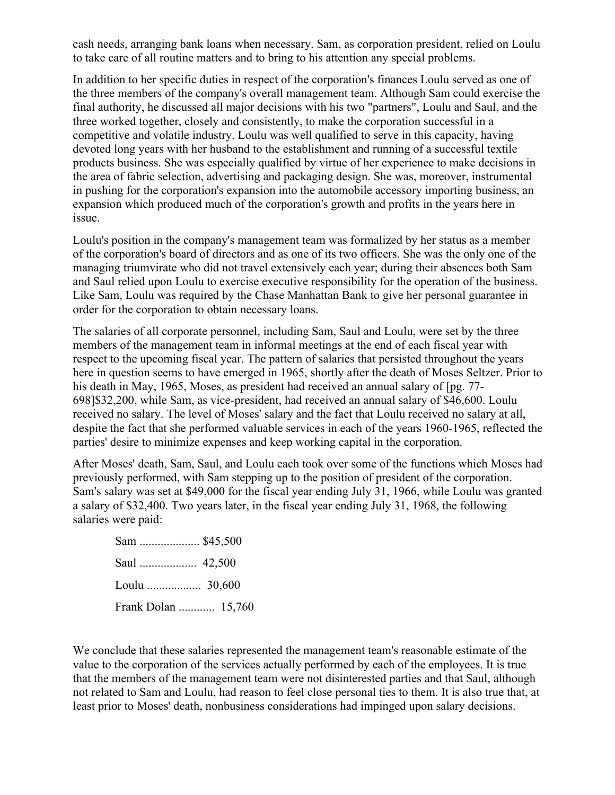cash needs, arranging bank loans when necessary. Sam, as corporation president, relied on Loulu to take care of all routine matters and to bring to his attention any special problems.

In addition to her specific duties in respect of the corporation's finances Loulu served as one of the three members of the company's overall management team. Although Sam could exercise the final authority, he discussed all major decisions with his two "partners", Loulu and Saul, and the three worked together, closely and consistently, to make the corporation successful in a competitive and volatile industry. Loulu was well qualified to serve in this capacity, having devoted long years with her husband to the establishment and running of a successful textile products business. She was especially qualified by virtue of her experience to make decisions in the area of fabric selection, advertising and packaging design. She was, moreover, instrumental in pushing for the corporation's expansion into the automobile accessory importing business, an expansion which produced much of the corporation's growth and profits in the years here in issue.

Loulu's position in the company's management team was formalized by her status as a member of the corporation's board of directors and as one of its two officers. She was the only one of the managing triumvirate who did not travel extensively each year; during their absences both Sam and Saul relied upon Loulu to exercise executive responsibility for the operation of the business. Like Sam, Loulu was required by the Chase Manhattan Bank to give her personal guarantee in order for the corporation to obtain necessary loans.

The salaries of all corporate personnel, including Sam, Saul and Loulu, were set by the three members of the management team in informal meetings at the end of each fiscal year with respect to the upcoming fiscal year. The pattern of salaries that persisted throughout the years here in question seems to have emerged in 1965, shortly after the death of Moses Seltzer. Prior to his death in May, 1965, Moses, as president had received an annual salary of [pg. 77- 698]\$32,200, while Sam, as vice-president, had received an annual salary of \$46,600. Loulu received no salary. The level of Moses' salary and the fact that Loulu received no salary at all, despite the fact that she performed valuable services in each of the years 1960-1965, reflected the parties' desire to minimize expenses and keep working capital in the corporation.

After Moses' death, Sam, Saul, and Loulu each took over some of the functions which Moses had previously performed, with Sam stepping up to the position of president of the corporation. Sam's salary was set at \$49,000 for the fiscal year ending July 31, 1966, while Loulu was granted a salary of \$32,400. Two years later, in the fiscal year ending July 31, 1968, the following salaries were paid:

| Frank Dolan  15,760 |
|---------------------|

We conclude that these salaries represented the management team's reasonable estimate of the value to the corporation of the services actually performed by each of the employees. It is true that the members of the management team were not disinterested parties and that Saul, although not related to Sam and Loulu, had reason to feel close personal ties to them. It is also true that, at least prior to Moses' death, nonbusiness considerations had impinged upon salary decisions.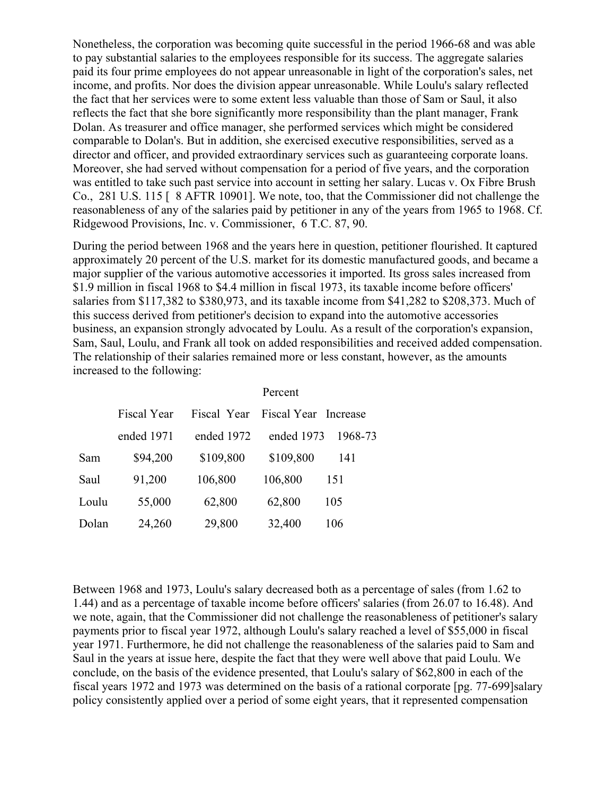Nonetheless, the corporation was becoming quite successful in the period 1966-68 and was able to pay substantial salaries to the employees responsible for its success. The aggregate salaries paid its four prime employees do not appear unreasonable in light of the corporation's sales, net income, and profits. Nor does the division appear unreasonable. While Loulu's salary reflected the fact that her services were to some extent less valuable than those of Sam or Saul, it also reflects the fact that she bore significantly more responsibility than the plant manager, Frank Dolan. As treasurer and office manager, she performed services which might be considered comparable to Dolan's. But in addition, she exercised executive responsibilities, served as a director and officer, and provided extraordinary services such as guaranteeing corporate loans. Moreover, she had served without compensation for a period of five years, and the corporation was entitled to take such past service into account in setting her salary. Lucas v. Ox Fibre Brush Co., 281 U.S. 115 [ 8 AFTR 10901]. We note, too, that the Commissioner did not challenge the reasonableness of any of the salaries paid by petitioner in any of the years from 1965 to 1968. Cf. Ridgewood Provisions, Inc. v. Commissioner, 6 T.C. 87, 90.

During the period between 1968 and the years here in question, petitioner flourished. It captured approximately 20 percent of the U.S. market for its domestic manufactured goods, and became a major supplier of the various automotive accessories it imported. Its gross sales increased from \$1.9 million in fiscal 1968 to \$4.4 million in fiscal 1973, its taxable income before officers' salaries from \$117,382 to \$380,973, and its taxable income from \$41,282 to \$208,373. Much of this success derived from petitioner's decision to expand into the automotive accessories business, an expansion strongly advocated by Loulu. As a result of the corporation's expansion, Sam, Saul, Loulu, and Frank all took on added responsibilities and received added compensation. The relationship of their salaries remained more or less constant, however, as the amounts increased to the following:

|       |                    |             | Percent              |         |
|-------|--------------------|-------------|----------------------|---------|
|       | <b>Fiscal Year</b> | Fiscal Year | Fiscal Year Increase |         |
|       | ended 1971         | ended 1972  | ended 1973           | 1968-73 |
| Sam   | \$94,200           | \$109,800   | \$109,800            | 141     |
| Saul  | 91,200             | 106,800     | 106,800              | 151     |
| Loulu | 55,000             | 62,800      | 62,800               | 105     |
| Dolan | 24,260             | 29,800      | 32,400               | 106     |

Between 1968 and 1973, Loulu's salary decreased both as a percentage of sales (from 1.62 to 1.44) and as a percentage of taxable income before officers' salaries (from 26.07 to 16.48). And we note, again, that the Commissioner did not challenge the reasonableness of petitioner's salary payments prior to fiscal year 1972, although Loulu's salary reached a level of \$55,000 in fiscal year 1971. Furthermore, he did not challenge the reasonableness of the salaries paid to Sam and Saul in the years at issue here, despite the fact that they were well above that paid Loulu. We conclude, on the basis of the evidence presented, that Loulu's salary of \$62,800 in each of the fiscal years 1972 and 1973 was determined on the basis of a rational corporate [pg. 77-699]salary policy consistently applied over a period of some eight years, that it represented compensation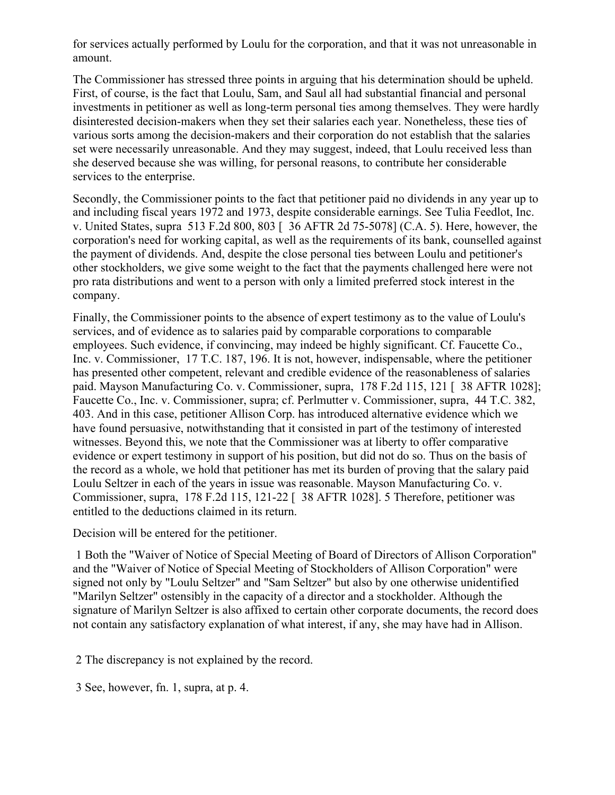for services actually performed by Loulu for the corporation, and that it was not unreasonable in amount.

The Commissioner has stressed three points in arguing that his determination should be upheld. First, of course, is the fact that Loulu, Sam, and Saul all had substantial financial and personal investments in petitioner as well as long-term personal ties among themselves. They were hardly disinterested decision-makers when they set their salaries each year. Nonetheless, these ties of various sorts among the decision-makers and their corporation do not establish that the salaries set were necessarily unreasonable. And they may suggest, indeed, that Loulu received less than she deserved because she was willing, for personal reasons, to contribute her considerable services to the enterprise.

Secondly, the Commissioner points to the fact that petitioner paid no dividends in any year up to and including fiscal years 1972 and 1973, despite considerable earnings. See Tulia Feedlot, Inc. v. United States, supra 513 F.2d 800, 803 [ 36 AFTR 2d 75-5078] (C.A. 5). Here, however, the corporation's need for working capital, as well as the requirements of its bank, counselled against the payment of dividends. And, despite the close personal ties between Loulu and petitioner's other stockholders, we give some weight to the fact that the payments challenged here were not pro rata distributions and went to a person with only a limited preferred stock interest in the company.

Finally, the Commissioner points to the absence of expert testimony as to the value of Loulu's services, and of evidence as to salaries paid by comparable corporations to comparable employees. Such evidence, if convincing, may indeed be highly significant. Cf. Faucette Co., Inc. v. Commissioner, 17 T.C. 187, 196. It is not, however, indispensable, where the petitioner has presented other competent, relevant and credible evidence of the reasonableness of salaries paid. Mayson Manufacturing Co. v. Commissioner, supra, 178 F.2d 115, 121 [ 38 AFTR 1028]; Faucette Co., Inc. v. Commissioner, supra; cf. Perlmutter v. Commissioner, supra, 44 T.C. 382, 403. And in this case, petitioner Allison Corp. has introduced alternative evidence which we have found persuasive, notwithstanding that it consisted in part of the testimony of interested witnesses. Beyond this, we note that the Commissioner was at liberty to offer comparative evidence or expert testimony in support of his position, but did not do so. Thus on the basis of the record as a whole, we hold that petitioner has met its burden of proving that the salary paid Loulu Seltzer in each of the years in issue was reasonable. Mayson Manufacturing Co. v. Commissioner, supra, 178 F.2d 115, 121-22 [ 38 AFTR 1028]. 5 Therefore, petitioner was entitled to the deductions claimed in its return.

Decision will be entered for the petitioner.

1 Both the "Waiver of Notice of Special Meeting of Board of Directors of Allison Corporation" and the "Waiver of Notice of Special Meeting of Stockholders of Allison Corporation" were signed not only by "Loulu Seltzer" and "Sam Seltzer" but also by one otherwise unidentified "Marilyn Seltzer" ostensibly in the capacity of a director and a stockholder. Although the signature of Marilyn Seltzer is also affixed to certain other corporate documents, the record does not contain any satisfactory explanation of what interest, if any, she may have had in Allison.

2 The discrepancy is not explained by the record.

3 See, however, fn. 1, supra, at p. 4.